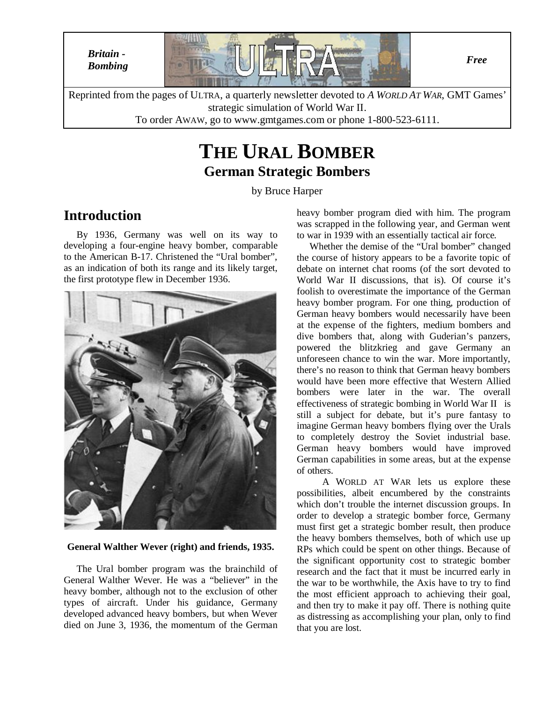

To order AWAW, go to www.gmtgames.com or phone 1-800-523-6111.

# **THE URAL BOMBER German Strategic Bombers**

by Bruce Harper

### **Introduction**

By 1936, Germany was well on its way to developing a four-engine heavy bomber, comparable to the American B-17. Christened the "Ural bomber", as an indication of both its range and its likely target, the first prototype flew in December 1936.



#### **General Walther Wever (right) and friends, 1935.**

The Ural bomber program was the brainchild of General Walther Wever. He was a "believer" in the heavy bomber, although not to the exclusion of other types of aircraft. Under his guidance, Germany developed advanced heavy bombers, but when Wever died on June 3, 1936, the momentum of the German

heavy bomber program died with him. The program was scrapped in the following year, and German went to war in 1939 with an essentially tactical air force.

Whether the demise of the "Ural bomber" changed the course of history appears to be a favorite topic of debate on internet chat rooms (of the sort devoted to World War II discussions, that is). Of course it's foolish to overestimate the importance of the German heavy bomber program. For one thing, production of German heavy bombers would necessarily have been at the expense of the fighters, medium bombers and dive bombers that, along with Guderian's panzers, powered the blitzkrieg and gave Germany an unforeseen chance to win the war. More importantly, there's no reason to think that German heavy bombers would have been more effective that Western Allied bombers were later in the war. The overall effectiveness of strategic bombing in World War II is still a subject for debate, but it's pure fantasy to imagine German heavy bombers flying over the Urals to completely destroy the Soviet industrial base. German heavy bombers would have improved German capabilities in some areas, but at the expense of others.

A WORLD AT WAR lets us explore these possibilities, albeit encumbered by the constraints which don't trouble the internet discussion groups. In order to develop a strategic bomber force, Germany must first get a strategic bomber result, then produce the heavy bombers themselves, both of which use up RPs which could be spent on other things. Because of the significant opportunity cost to strategic bomber research and the fact that it must be incurred early in the war to be worthwhile, the Axis have to try to find the most efficient approach to achieving their goal, and then try to make it pay off. There is nothing quite as distressing as accomplishing your plan, only to find that you are lost.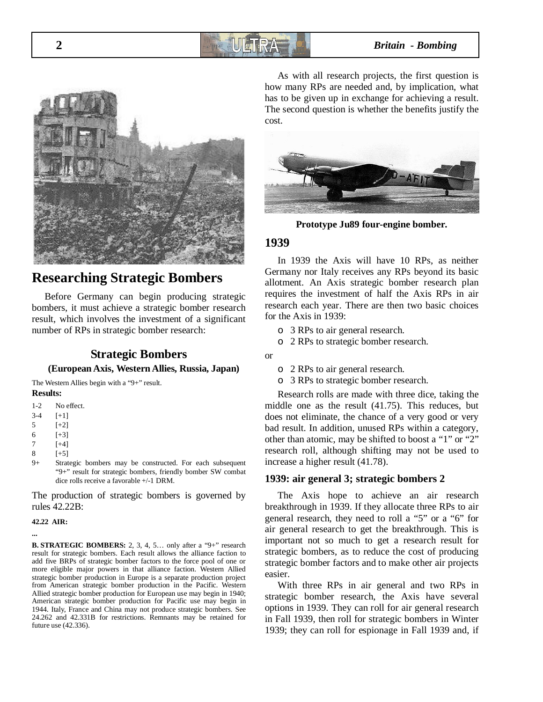## **2** *Britain - Bombing*



### **Researching Strategic Bombers**

Before Germany can begin producing strategic bombers, it must achieve a strategic bomber research result, which involves the investment of a significant number of RPs in strategic bomber research:

### **Strategic Bombers (European Axis, Western Allies, Russia, Japan)**

The Western Allies begin with a "9+" result. **Results:**

- 1-2 No effect.
- $3-4$  [+1]
- 5 [+2]
- 6 [+3]
- 7 [+4]
- 8 [+5]
- 9+ Strategic bombers may be constructed. For each subsequent "9+" result for strategic bombers, friendly bomber SW combat dice rolls receive a favorable +/-1 DRM.

The production of strategic bombers is governed by rules 42.22B:

#### **42.22 AIR:**

**...**

**B. STRATEGIC BOMBERS:** 2, 3, 4, 5… only after a "9+" research result for strategic bombers. Each result allows the alliance faction to add five BRPs of strategic bomber factors to the force pool of one or more eligible major powers in that alliance faction. Western Allied strategic bomber production in Europe is a separate production project from American strategic bomber production in the Pacific. Western Allied strategic bomber production for European use may begin in 1940; American strategic bomber production for Pacific use may begin in 1944. Italy, France and China may not produce strategic bombers. See 24.262 and 42.331B for restrictions. Remnants may be retained for future use (42.336).

As with all research projects, the first question is how many RPs are needed and, by implication, what has to be given up in exchange for achieving a result. The second question is whether the benefits justify the cost.



**Prototype Ju89 four-engine bomber.**

#### **1939**

In 1939 the Axis will have 10 RPs, as neither Germany nor Italy receives any RPs beyond its basic allotment. An Axis strategic bomber research plan requires the investment of half the Axis RPs in air research each year. There are then two basic choices for the Axis in 1939:

- o 3 RPs to air general research.
- o 2 RPs to strategic bomber research.
- or
- o 2 RPs to air general research.
- o 3 RPs to strategic bomber research.

Research rolls are made with three dice, taking the middle one as the result (41.75). This reduces, but does not eliminate, the chance of a very good or very bad result. In addition, unused RPs within a category, other than atomic, may be shifted to boost a "1" or "2" research roll, although shifting may not be used to increase a higher result (41.78).

#### **1939: air general 3; strategic bombers 2**

The Axis hope to achieve an air research breakthrough in 1939. If they allocate three RPs to air general research, they need to roll a "5" or a "6" for air general research to get the breakthrough. This is important not so much to get a research result for strategic bombers, as to reduce the cost of producing strategic bomber factors and to make other air projects easier.

With three RPs in air general and two RPs in strategic bomber research, the Axis have several options in 1939. They can roll for air general research in Fall 1939, then roll for strategic bombers in Winter 1939; they can roll for espionage in Fall 1939 and, if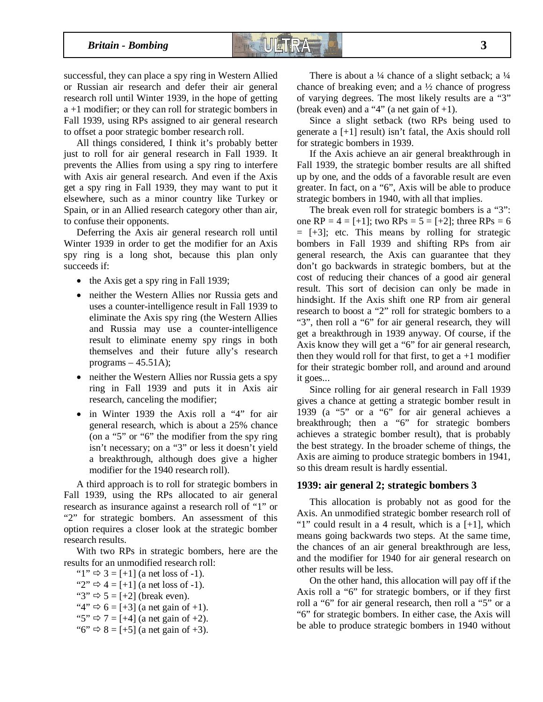successful, they can place a spy ring in Western Allied or Russian air research and defer their air general research roll until Winter 1939, in the hope of getting a +1 modifier; or they can roll for strategic bombers in Fall 1939, using RPs assigned to air general research to offset a poor strategic bomber research roll.

All things considered, I think it's probably better just to roll for air general research in Fall 1939. It prevents the Allies from using a spy ring to interfere with Axis air general research. And even if the Axis get a spy ring in Fall 1939, they may want to put it elsewhere, such as a minor country like Turkey or Spain, or in an Allied research category other than air, to confuse their opponents.

Deferring the Axis air general research roll until Winter 1939 in order to get the modifier for an Axis spy ring is a long shot, because this plan only succeeds if:

- the Axis get a spy ring in Fall 1939;
- neither the Western Allies nor Russia gets and uses a counter-intelligence result in Fall 1939 to eliminate the Axis spy ring (the Western Allies and Russia may use a counter-intelligence result to eliminate enemy spy rings in both themselves and their future ally's research programs  $-45.51$ A);
- neither the Western Allies nor Russia gets a spy ring in Fall 1939 and puts it in Axis air research, canceling the modifier;
- in Winter 1939 the Axis roll a "4" for air general research, which is about a 25% chance (on a "5" or "6" the modifier from the spy ring isn't necessary; on a "3" or less it doesn't yield a breakthrough, although does give a higher modifier for the 1940 research roll).

A third approach is to roll for strategic bombers in Fall 1939, using the RPs allocated to air general research as insurance against a research roll of "1" or "2" for strategic bombers. An assessment of this option requires a closer look at the strategic bomber research results.

With two RPs in strategic bombers, here are the results for an unmodified research roll:

" $1$ "  $\Rightarrow$  3 = [+1] (a net loss of -1). " $2$ "  $\Rightarrow$  4 = [+1] (a net loss of -1). " $3" \Rightarrow 5 = +2$ ] (break even). " $4$ "  $\Rightarrow$  6 = [+3] (a net gain of +1). "5"  $\Rightarrow$  7 = [+4] (a net gain of +2). "6"  $\Rightarrow$  8 = [+5] (a net gain of +3).

There is about a  $\frac{1}{4}$  chance of a slight setback; a  $\frac{1}{4}$ chance of breaking even; and a  $\frac{1}{2}$  chance of progress of varying degrees. The most likely results are a "3" (break even) and a "4" (a net gain of  $+1$ ).

Since a slight setback (two RPs being used to generate a [+1] result) isn't fatal, the Axis should roll for strategic bombers in 1939.

If the Axis achieve an air general breakthrough in Fall 1939, the strategic bomber results are all shifted up by one, and the odds of a favorable result are even greater. In fact, on a "6", Axis will be able to produce strategic bombers in 1940, with all that implies.

The break even roll for strategic bombers is a "3": one RP =  $4 = \{ +1 \}$ ; two RPs =  $5 = \{ +2 \}$ ; three RPs = 6  $=$  [+3]; etc. This means by rolling for strategic bombers in Fall 1939 and shifting RPs from air general research, the Axis can guarantee that they don't go backwards in strategic bombers, but at the cost of reducing their chances of a good air general result. This sort of decision can only be made in hindsight. If the Axis shift one RP from air general research to boost a "2" roll for strategic bombers to a "3", then roll a "6" for air general research, they will get a breakthrough in 1939 anyway. Of course, if the Axis know they will get a "6" for air general research, then they would roll for that first, to get  $a + 1$  modifier for their strategic bomber roll, and around and around it goes...

Since rolling for air general research in Fall 1939 gives a chance at getting a strategic bomber result in 1939 (a "5" or a "6" for air general achieves a breakthrough; then a "6" for strategic bombers achieves a strategic bomber result), that is probably the best strategy. In the broader scheme of things, the Axis are aiming to produce strategic bombers in 1941, so this dream result is hardly essential.

#### **1939: air general 2; strategic bombers 3**

This allocation is probably not as good for the Axis. An unmodified strategic bomber research roll of "1" could result in a 4 result, which is a  $[+1]$ , which means going backwards two steps. At the same time, the chances of an air general breakthrough are less, and the modifier for 1940 for air general research on other results will be less.

On the other hand, this allocation will pay off if the Axis roll a "6" for strategic bombers, or if they first roll a "6" for air general research, then roll a "5" or a "6" for strategic bombers. In either case, the Axis will be able to produce strategic bombers in 1940 without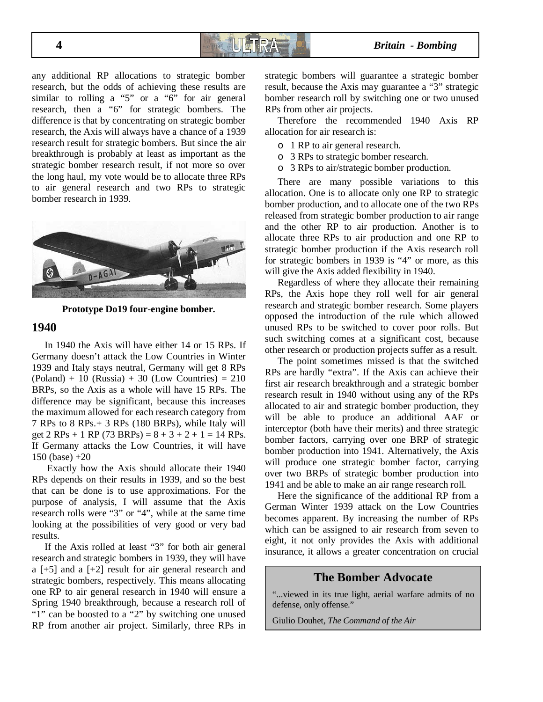any additional RP allocations to strategic bomber research, but the odds of achieving these results are similar to rolling a "5" or a "6" for air general research, then a "6" for strategic bombers. The difference is that by concentrating on strategic bomber research, the Axis will always have a chance of a 1939 research result for strategic bombers. But since the air breakthrough is probably at least as important as the strategic bomber research result, if not more so over the long haul, my vote would be to allocate three RPs to air general research and two RPs to strategic bomber research in 1939.



**Prototype Do19 four-engine bomber.**

#### **1940**

In 1940 the Axis will have either 14 or 15 RPs. If Germany doesn't attack the Low Countries in Winter 1939 and Italy stays neutral, Germany will get 8 RPs  $(Poland) + 10$   $(Russia) + 30$   $(Low$  Countries) = 210 BRPs, so the Axis as a whole will have 15 RPs. The difference may be significant, because this increases the maximum allowed for each research category from 7 RPs to 8 RPs.+ 3 RPs (180 BRPs), while Italy will get 2 RPs + 1 RP (73 BRPs) =  $8 + 3 + 2 + 1 = 14$  RPs. If Germany attacks the Low Countries, it will have 150 (base) +20

 Exactly how the Axis should allocate their 1940 RPs depends on their results in 1939, and so the best that can be done is to use approximations. For the purpose of analysis, I will assume that the Axis research rolls were "3" or "4", while at the same time looking at the possibilities of very good or very bad results.

If the Axis rolled at least "3" for both air general research and strategic bombers in 1939, they will have a [+5] and a [+2] result for air general research and strategic bombers, respectively. This means allocating one RP to air general research in 1940 will ensure a Spring 1940 breakthrough, because a research roll of "1" can be boosted to a "2" by switching one unused RP from another air project. Similarly, three RPs in strategic bombers will guarantee a strategic bomber result, because the Axis may guarantee a "3" strategic bomber research roll by switching one or two unused RPs from other air projects.

Therefore the recommended 1940 Axis RP allocation for air research is:

- o 1 RP to air general research.
- o 3 RPs to strategic bomber research.
- o 3 RPs to air/strategic bomber production.

There are many possible variations to this allocation. One is to allocate only one RP to strategic bomber production, and to allocate one of the two RPs released from strategic bomber production to air range and the other RP to air production. Another is to allocate three RPs to air production and one RP to strategic bomber production if the Axis research roll for strategic bombers in 1939 is "4" or more, as this will give the Axis added flexibility in 1940.

Regardless of where they allocate their remaining RPs, the Axis hope they roll well for air general research and strategic bomber research. Some players opposed the introduction of the rule which allowed unused RPs to be switched to cover poor rolls. But such switching comes at a significant cost, because other research or production projects suffer as a result.

The point sometimes missed is that the switched RPs are hardly "extra". If the Axis can achieve their first air research breakthrough and a strategic bomber research result in 1940 without using any of the RPs allocated to air and strategic bomber production, they will be able to produce an additional AAF or interceptor (both have their merits) and three strategic bomber factors, carrying over one BRP of strategic bomber production into 1941. Alternatively, the Axis will produce one strategic bomber factor, carrying over two BRPs of strategic bomber production into 1941 and be able to make an air range research roll.

Here the significance of the additional RP from a German Winter 1939 attack on the Low Countries becomes apparent. By increasing the number of RPs which can be assigned to air research from seven to eight, it not only provides the Axis with additional insurance, it allows a greater concentration on crucial

#### **The Bomber Advocate**

"...viewed in its true light, aerial warfare admits of no defense, only offense."

Giulio Douhet, *The Command of the Air*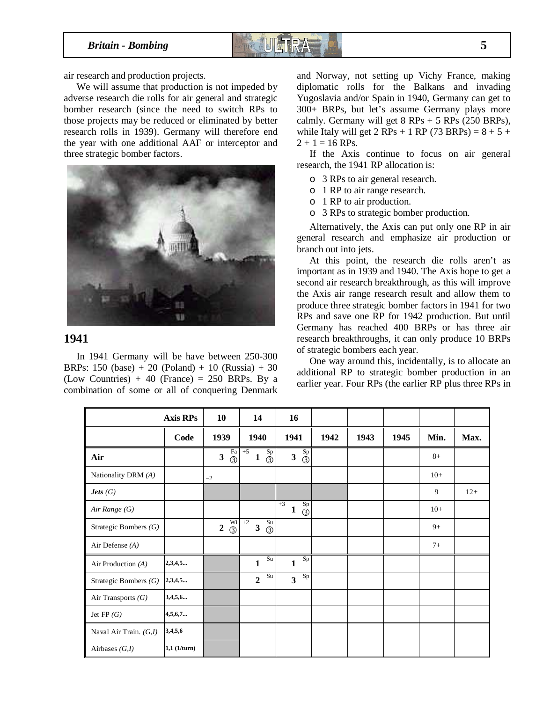

air research and production projects.

We will assume that production is not impeded by adverse research die rolls for air general and strategic bomber research (since the need to switch RPs to those projects may be reduced or eliminated by better research rolls in 1939). Germany will therefore end the year with one additional AAF or interceptor and three strategic bomber factors.



#### **1941**

In 1941 Germany will be have between 250-300 BRPs:  $150$  (base) + 20 (Poland) + 10 (Russia) + 30 (Low Countries) + 40 (France) = 250 BRPs. By a combination of some or all of conquering Denmark

and Norway, not setting up Vichy France, making diplomatic rolls for the Balkans and invading Yugoslavia and/or Spain in 1940, Germany can get to 300+ BRPs, but let's assume Germany plays more calmly. Germany will get  $8$  RPs  $+$  5 RPs (250 BRPs), while Italy will get 2 RPs + 1 RP (73 BRPs) =  $8 + 5 +$  $2 + 1 = 16$  RPs.

If the Axis continue to focus on air general research, the 1941 RP allocation is:

- o 3 RPs to air general research.
- o 1 RP to air range research.
- o 1 RP to air production.
- o 3 RPs to strategic bomber production.

Alternatively, the Axis can put only one RP in air general research and emphasize air production or branch out into jets.

At this point, the research die rolls aren't as important as in 1939 and 1940. The Axis hope to get a second air research breakthrough, as this will improve the Axis air range research result and allow them to produce three strategic bomber factors in 1941 for two RPs and save one RP for 1942 production. But until Germany has reached 400 BRPs or has three air research breakthroughs, it can only produce 10 BRPs of strategic bombers each year.

One way around this, incidentally, is to allocate an additional RP to strategic bomber production in an earlier year. Four RPs (the earlier RP plus three RPs in

|                          | <b>Axis RPs</b> | 10                                           | 14                                                     | 16                                                        |      |      |      |       |       |
|--------------------------|-----------------|----------------------------------------------|--------------------------------------------------------|-----------------------------------------------------------|------|------|------|-------|-------|
|                          | Code            | 1939                                         | 1940                                                   | 1941                                                      | 1942 | 1943 | 1945 | Min.  | Max.  |
| Air                      |                 | Fa<br>$\overline{\mathbf{3}}$<br>$\circledS$ | $+5$<br>$\frac{Sp}{O}$<br>$\mathbf{1}$                 | $\mathrm{Sp}$<br>$\overline{\mathbf{3}}$<br>$\circled{3}$ |      |      |      | $8+$  |       |
| Nationality DRM (A)      |                 | $-2$                                         |                                                        |                                                           |      |      |      | $10+$ |       |
| <i>Jets</i> $(G)$        |                 |                                              |                                                        |                                                           |      |      |      | 9     | $12+$ |
| Air Range (G)            |                 |                                              |                                                        | $+3$<br>Sp<br>1<br>$\circled{3}$                          |      |      |      | $10+$ |       |
| Strategic Bombers $(G)$  |                 | Wi<br>$\overline{2}$<br>$\overline{3}$       | $+2$<br>Su<br>$\overline{\mathbf{3}}$<br>$\circled{3}$ |                                                           |      |      |      | $9+$  |       |
| Air Defense $(A)$        |                 |                                              |                                                        |                                                           |      |      |      | $7+$  |       |
| Air Production (A)       | 2,3,4,5         |                                              | Su<br>$\mathbf{1}$                                     | Sp<br>$\mathbf{1}$                                        |      |      |      |       |       |
| Strategic Bombers $(G)$  | 2,3,4,5         |                                              | Su<br>$\overline{2}$                                   | $_{\mathrm{Sp}}$<br>$\overline{\mathbf{3}}$               |      |      |      |       |       |
| Air Transports $(G)$     | 3,4,5,6         |                                              |                                                        |                                                           |      |      |      |       |       |
| Jet $FP(G)$              | 4,5,6,7         |                                              |                                                        |                                                           |      |      |      |       |       |
| Naval Air Train. $(G,I)$ | 3,4,5,6         |                                              |                                                        |                                                           |      |      |      |       |       |
| Airbases $(G,I)$         | 1,1 (1/turn)    |                                              |                                                        |                                                           |      |      |      |       |       |